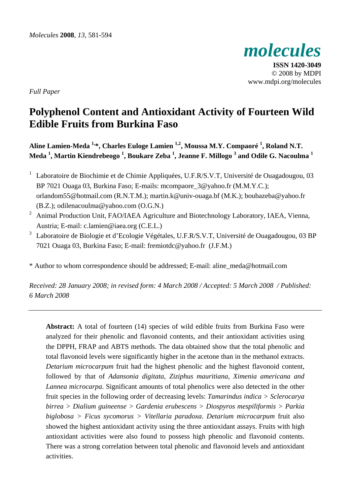

**ISSN 1420-3049**  © 2008 by MDPI www.mdpi.org/molecules

*Full Paper* 

# **Polyphenol Content and Antioxidant Activity of Fourteen Wild Edible Fruits from Burkina Faso**

**Aline Lamien-Meda 1,\*, Charles Euloge Lamien 1,2, Moussa M.Y. Compaoré 1 , Roland N.T. Meda <sup>1</sup> , Martin Kiendrebeogo <sup>1</sup> , Boukare Zeba 1 , Jeanne F. Millogo 3 and Odile G. Nacoulma <sup>1</sup>**

- 1 Laboratoire de Biochimie et de Chimie Appliquées, U.F.R/S.V.T, Université de Ouagadougou, 03 BP 7021 Ouaga 03, Burkina Faso; E-mails: mcompaore 3@yahoo.fr (M.M.Y.C.); orlandom55@hotmail.com (R.N.T.M.); martin.k@univ-ouaga.bf (M.K.); boubazeba@yahoo.fr (B.Z.); odilenacoulma@yahoo.com (O.G.N.)
- <sup>2</sup> Animal Production Unit, FAO/IAEA Agriculture and Biotechnology Laboratory, IAEA, Vienna, Austria; E-mail: c.lamien@iaea.org (C.E.L.)
- 3 Laboratoire de Biologie et d'Ecologie Végétales, U.F.R/S.V.T, Université de Ouagadougou, 03 BP 7021 Ouaga 03, Burkina Faso; E-mail: fremiotdc@yahoo.fr (J.F.M.)

\* Author to whom correspondence should be addressed; E-mail: aline\_meda@hotmail.com

*Received: 28 January 2008; in revised form: 4 March 2008 / Accepted: 5 March 2008 / Published: 6 March 2008* 

**Abstract:** A total of fourteen (14) species of wild edible fruits from Burkina Faso were analyzed for their phenolic and flavonoid contents, and their antioxidant activities using the DPPH, FRAP and ABTS methods. The data obtained show that the total phenolic and total flavonoid levels were significantly higher in the acetone than in the methanol extracts. *Detarium microcarpum* fruit had the highest phenolic and the highest flavonoid content, followed by that of *Adansonia digitata, Ziziphus mauritiana, Ximenia americana and Lannea microcarpa*. Significant amounts of total phenolics were also detected in the other fruit species in the following order of decreasing levels: *Tamarindus indica > Sclerocarya birrea > Dialium guineense > Gardenia erubescens > Diospyros mespiliformis > Parkia biglobosa > Ficus sycomorus > Vitellaria paradoxa*. *Detarium microcarpum* fruit also showed the highest antioxidant activity using the three antioxidant assays. Fruits with high antioxidant activities were also found to possess high phenolic and flavonoid contents. There was a strong correlation between total phenolic and flavonoid levels and antioxidant activities.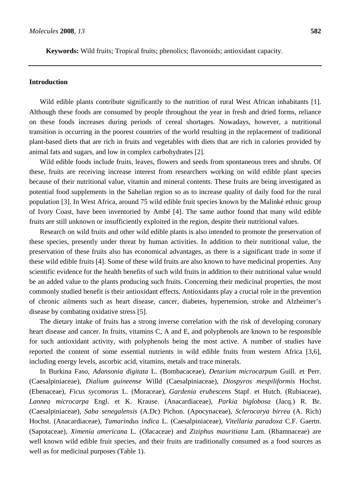## **Introduction**

Wild edible plants contribute significantly to the nutrition of rural West African inhabitants [1]. Although these foods are consumed by people throughout the year in fresh and dried forms, reliance on these foods increases during periods of cereal shortages. Nowadays, however, a nutritional transition is occurring in the poorest countries of the world resulting in the replacement of traditional plant-based diets that are rich in fruits and vegetables with diets that are rich in calories provided by animal fats and sugars, and low in complex carbohydrates [2].

Wild edible foods include fruits, leaves, flowers and seeds from spontaneous trees and shrubs. Of these, fruits are receiving increase interest from researchers working on wild edible plant species because of their nutritional value, vitamin and mineral contents. These fruits are being investigated as potential food supplements in the Sahelian region so as to increase quality of daily food for the rural population [3]. In West Africa, around 75 wild edible fruit species known by the Malinké ethnic group of Ivory Coast, have been inventoried by Ambé [4]. The same author found that many wild edible fruits are still unknown or insufficiently exploited in the region, despite their nutritional values.

Research on wild fruits and other wild edible plants is also intended to promote the preservation of these species, presently under threat by human activities. In addition to their nutritional value, the preservation of these fruits also has economical advantages, as there is a significant trade in some if these wild edible fruits [4]. Some of these wild fruits are also known to have medicinal properties. Any scientific evidence for the health benefits of such wild fruits in addition to their nutritional value would be an added value to the plants producing such fruits. Concerning their medicinal properties, the most commonly studied benefit is their antioxidant effects. Antioxidants play a crucial role in the prevention of chronic ailments such as heart disease, cancer, diabetes, hypertension, stroke and Alzheimer's disease by combating oxidative stress [5].

The dietary intake of fruits has a strong inverse correlation with the risk of developing coronary heart disease and cancer. In fruits, vitamins C, A and E, and polyphenols are known to be responsible for such antioxidant activity, with polyphenols being the most active. A number of studies have reported the content of some essential nutrients in wild edible fruits from western Africa [3,6], including energy levels, ascorbic acid, vitamins, metals and trace minerals.

In Burkina Faso, *Adansonia digitata* L. (Bombacaceae), *Detarium microcarpum* Guill. et Perr. (Caesalpiniaceae), *Dialium guineense* Willd (Caesalpiniaceae), *Diospyros mespiliformis* Hochst. (Ebenaceae), *Ficus sycomorus* L. (Moraceae), *Gardenia erubescens* Stapf. et Hutch. (Rubiaceae), *Lannea microcarpa* Engl. et K. Krause. (Anacardiaceae), *Parkia biglobosa* (Jacq.) R. Br. (Caesalpiniaceae), *Saba senegalensis* (A.Dc) Pichon. (Apocynaceae), *Sclerocarya birrea* (A. Rich) Hochst. (Anacardiaceae), *Tamarindus indica* L. (Caesalpiniaceae), *Vitellaria paradoxa* C.F. Gaertn. (Sapotaceae), *Ximenia americana* L. (Olacaceae) and *Ziziphus mauritiana* Lam. (Rhamnaceae) are well known wild edible fruit species, and their fruits are traditionally consumed as a food sources as well as for medicinal purposes (Table 1).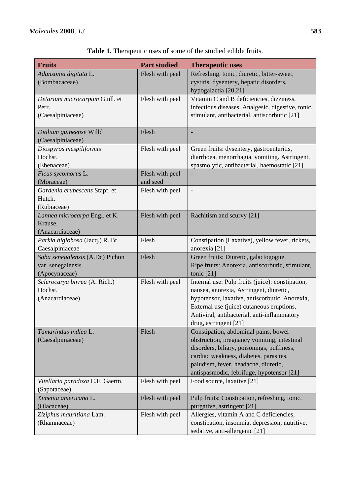| <b>Fruits</b>                           | <b>Part studied</b> | <b>Therapeutic uses</b>                                                             |
|-----------------------------------------|---------------------|-------------------------------------------------------------------------------------|
| Adansonia digitata L.                   | Flesh with peel     | Refreshing, tonic, diuretic, bitter-sweet,                                          |
| (Bombacaceae)                           |                     | cystitis, dysentery, hepatic disorders,                                             |
|                                         |                     | hypogalactia [20,21]                                                                |
| Detarium microcarpum Guill. et          | Flesh with peel     | Vitamin C and B deficiencies, dizziness,                                            |
| Perr.                                   |                     | infectious diseases. Analgesic, digestive, tonic,                                   |
| (Caesalpiniaceae)                       |                     | stimulant, antibacterial, antiscorbutic [21]                                        |
| Dialium guineense Willd                 | Flesh               |                                                                                     |
| (Caesalpiniaceae)                       |                     |                                                                                     |
| Diospyros mespiliformis                 | Flesh with peel     | Green fruits: dysentery, gastroenteritis,                                           |
| Hochst.                                 |                     | diarrhoea, menorrhagia, vomiting. Astringent,                                       |
| (Ebenaceae)                             |                     | spasmolytic, antibacterial, haemostatic [21]                                        |
| Ficus sycomorus L.                      | Flesh with peel     |                                                                                     |
| (Moraceae)                              | and seed            |                                                                                     |
| Gardenia erubescens Stapf. et<br>Hutch. | Flesh with peel     |                                                                                     |
| (Rubiaceae)                             |                     |                                                                                     |
| Lannea microcarpa Engl. et K.           | Flesh with peel     | Rachitism and scurvy [21]                                                           |
| Krause.                                 |                     |                                                                                     |
| (Anacardiaceae)                         |                     |                                                                                     |
| Parkia biglobosa (Jacq.) R. Br.         | Flesh               | Constipation (Laxative), yellow fever, rickets,                                     |
| Caesalpiniaceae                         |                     | anorexia <sup>[21]</sup>                                                            |
| Saba senegalensis (A.Dc) Pichon         | Flesh               | Green fruits: Diuretic, galactogogue.                                               |
| var. senegalensis                       |                     | Ripe fruits: Anorexia, antiscorbutic, stimulant,                                    |
| (Apocynaceae)                           |                     | tonic $[21]$                                                                        |
| Sclerocarya birrea (A. Rich.)           | Flesh with peel     | Internal use: Pulp fruits (juice): constipation,                                    |
| Hochst.                                 |                     | nausea, anorexia, Astringent, diuretic,                                             |
| (Anacardiaceae)                         |                     | hypotensor, laxative, antiscorbutic, Anorexia,                                      |
|                                         |                     | External use (juice) cutaneous eruptions.                                           |
|                                         |                     | Antiviral, antibacterial, anti-inflammatory                                         |
| Tamarindus indica L.                    |                     | drug, astringent [21]                                                               |
| (Caesalpiniaceae)                       | Flesh               | Constipation, abdominal pains, bowel<br>obstruction, pregnancy vomiting, intestinal |
|                                         |                     | disorders, biliary, poisonings, puffiness,                                          |
|                                         |                     | cardiac weakness, diabetes, parasites,                                              |
|                                         |                     | paludism, fever, headache, diuretic,                                                |
|                                         |                     | antispasmodic, febrifuge, hypotensor [21]                                           |
| Vitellaria paradoxa C.F. Gaertn.        | Flesh with peel     | Food source, laxative [21]                                                          |
| (Sapotaceae)                            |                     |                                                                                     |
| Ximenia americana L.                    | Flesh with peel     | Pulp fruits: Constipation, refreshing, tonic,                                       |
| (Olacaceae)                             |                     | purgative, astringent [21]                                                          |
| Ziziphus mauritiana Lam.                | Flesh with peel     | Allergies, vitamin A and C deficiencies,                                            |
| (Rhamnaceae)                            |                     | constipation, insomnia, depression, nutritive,                                      |
|                                         |                     | sedative, anti-allergenic [21]                                                      |

**Table 1.** Therapeutic uses of some of the studied edible fruits.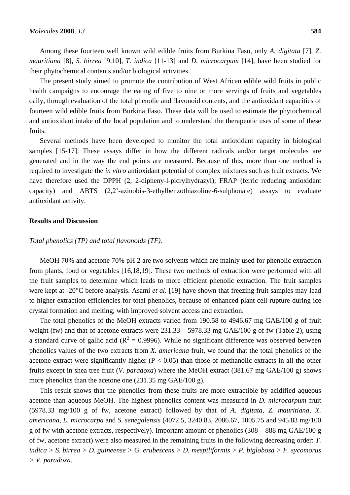Among these fourteen well known wild edible fruits from Burkina Faso, only *A. digitata* [7], *Z. mauritiana* [8], *S. birrea* [9,10], *T. indica* [11-13] and *D. microcarpum* [14], have been studied for their phytochemical contents and/or biological activities.

The present study aimed to promote the contribution of West African edible wild fruits in public health campaigns to encourage the eating of five to nine or more servings of fruits and vegetables daily, through evaluation of the total phenolic and flavonoid contents, and the antioxidant capacities of fourteen wild edible fruits from Burkina Faso. These data will be used to estimate the phytochemical and antioxidant intake of the local population and to understand the therapeutic uses of some of these fruits.

Several methods have been developed to monitor the total antioxidant capacity in biological samples [15-17]. These assays differ in how the different radicals and/or target molecules are generated and in the way the end points are measured. Because of this, more than one method is required to investigate the *in vitro* antioxidant potential of complex mixtures such as fruit extracts. We have therefore used the DPPH (2, 2-dipheny-l-picrylhydrazyl), FRAP (ferric reducing antioxidant capacity) and ABTS (2,2'-azinobis-3-ethylbenzothiazoline-6-sulphonate) assays to evaluate antioxidant activity.

#### **Results and Discussion**

## *Total phenolics (TP) and total flavonoids (TF).*

MeOH 70% and acetone 70% pH 2 are two solvents which are mainly used for phenolic extraction from plants, food or vegetables [16,18,19]. These two methods of extraction were performed with all the fruit samples to determine which leads to more efficient phenolic extraction. The fruit samples were kept at -20°C before analysis. Asami *et al*. [19] have shown that freezing fruit samples may lead to higher extraction efficiencies for total phenolics, because of enhanced plant cell rupture during ice crystal formation and melting, with improved solvent access and extraction.

The total phenolics of the MeOH extracts varied from 190.58 to 4946.67 mg GAE/100 g of fruit weight (fw) and that of acetone extracts were  $231.33 - 5978.33$  mg GAE/100 g of fw (Table 2), using a standard curve of gallic acid ( $R^2 = 0.9996$ ). While no significant difference was observed between phenolics values of the two extracts from *X. americana* fruit, we found that the total phenolics of the acetone extract were significantly higher  $(P < 0.05)$  than those of methanolic extracts in all the other fruits except in shea tree fruit (*V. paradoxa*) where the MeOH extract (381.67 mg GAE/100 g) shows more phenolics than the acetone one (231.35 mg GAE/100 g).

This result shows that the phenolics from these fruits are more extractible by acidified aqueous acetone than aqueous MeOH. The highest phenolics content was measured in *D. microcarpum* fruit (5978.33 mg/100 g of fw, acetone extract) followed by that of *A. digitata, Z. mauritiana*, *X. americana*, *L. microcarpa* and *S. senegalensis* (4072.5, 3240.83, 2086.67, 1005.75 and 945.83 mg/100 g of fw with acetone extracts, respectively). Important amount of phenolics (308 – 888 mg GAE/100 g of fw, acetone extract) were also measured in the remaining fruits in the following decreasing order: *T. indica > S. birrea > D. guineense > G. erubescens > D. mespiliformis > P. biglobosa > F. sycomorus > V. paradoxa*.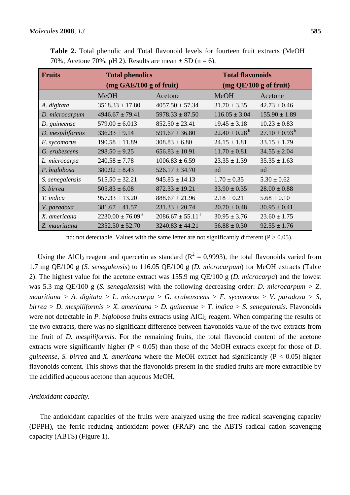| <b>Fruits</b>    | <b>Total phenolics</b>                    |                                 | <b>Total flavonoids</b>         |                               |
|------------------|-------------------------------------------|---------------------------------|---------------------------------|-------------------------------|
|                  | $(mg \text{ GAE}/100 g \text{ of fruit})$ |                                 | $\frac{mg QE}{100 g}$ of fruit) |                               |
|                  | <b>MeOH</b>                               | Acetone                         | <b>MeOH</b>                     | Acetone                       |
| A. digitata      | $3518.33 \pm 17.80$                       | $4057.50 \pm 57.34$             | $31.70 \pm 3.35$                | $42.73 \pm 0.46$              |
| D. microcarpum   | $4946.67 \pm 79.41$                       | $5978.33 \pm 87.50$             | $116.05 \pm 3.04$               | $155.90 \pm 1.89$             |
| D. guineense     | $579.00 \pm 6.013$                        | $852.50 \pm 23.41$              | $19.45 \pm 3.18$                | $10.23 \pm 0.83$              |
| D. mespiliformis | $336.33 \pm 9.14$                         | $591.67 \pm 36.80$              | $22.40 \pm 0.28^{\mathrm{b}}$   | $27.10 \pm 0.93^{\mathrm{b}}$ |
| F. sycomorus     | $190.58 \pm 11.89$                        | $308.83 \pm 6.80$               | $24.15 \pm 1.81$                | $33.15 \pm 1.79$              |
| G. erubescens    | $298.50 \pm 9.25$                         | $656.83 \pm 10.91$              | $11.70 \pm 0.81$                | $34.55 \pm 2.04$              |
| L. microcarpa    | $240.58 \pm 7.78$                         | $1006.83 \pm 6.59$              | $23.35 \pm 1.39$                | $35.35 \pm 1.63$              |
| P. biglobosa     | $380.92 \pm 8.43$                         | $526.17 \pm 34.70$              | nd                              | nd                            |
| S. senegalensis  | $515.50 \pm 32.21$                        | $945.83 \pm 14.13$              | $1.70 \pm 0.35$                 | $5.30 \pm 0.62$               |
| S. birrea        | $505.83 \pm 6.08$                         | $872.33 \pm 19.21$              | $33.90 \pm 0.35$                | $28.00 \pm 0.88$              |
| T. indica        | $957.33 \pm 13.20$                        | $888.67 \pm 21.96$              | $2.18 \pm 0.21$                 | $5.68 \pm 0.10$               |
| V. paradoxa      | $381.67 \pm 41.57$                        | $231.33 \pm 20.74$              | $20.70 \pm 0.48$                | $30.95 \pm 0.41$              |
| X. americana     | $2230.00 \pm 76.09^{\text{ a}}$           | $2086.67 \pm 55.11^{\text{ a}}$ | $30.95 \pm 3.76$                | $23.60 \pm 1.75$              |
| Z. mauritiana    | $2352.50 \pm 52.70$                       | $3240.83 \pm 44.21$             | $56.88 \pm 0.30$                | $92.55 \pm 1.76$              |

**Table 2.** Total phenolic and Total flavonoid levels for fourteen fruit extracts (MeOH 70%, Acetone 70%, pH 2). Results are mean  $\pm$  SD (n = 6).

nd: not detectable. Values with the same letter are not significantly different ( $P > 0.05$ ).

Using the AlCl<sub>3</sub> reagent and quercetin as standard ( $R^2 = 0.9993$ ), the total flavonoids varied from 1.7 mg QE/100 g (*S. senegalensis*) to 116.05 QE/100 g (*D. microcarpum*) for MeOH extracts (Table 2). The highest value for the acetone extract was 155.9 mg QE/100 g (*D. microcarpa*) and the lowest was 5.3 mg QE/100 g (*S. senegalensis*) with the following decreasing order: *D. microcarpum > Z. mauritiana > A. digitata > L. microcarpa > G. erubenscens > F. sycomorus > V. paradoxa > S, birrea > D. mespiliformis > X. americana > D. guineense > T. indica > S. senegalensis*. Flavonoids were not detectable in *P. biglobosa* fruits extracts using AlCl<sub>3</sub> reagent. When comparing the results of the two extracts, there was no significant difference between flavonoids value of the two extracts from the fruit of *D. mespiliformis*. For the remaining fruits, the total flavonoid content of the acetone extracts were significantly higher (P < 0.05) than those of the MeOH extracts except for those of *D. guineense, S. birrea* and *X. americana* where the MeOH extract had significantly (P < 0.05) higher flavonoids content. This shows that the flavonoids present in the studied fruits are more extractible by the acidified aqueous acetone than aqueous MeOH.

## *Antioxidant capacity.*

The antioxidant capacities of the fruits were analyzed using the free radical scavenging capacity (DPPH), the ferric reducing antioxidant power (FRAP) and the ABTS radical cation scavenging capacity (ABTS) (Figure 1).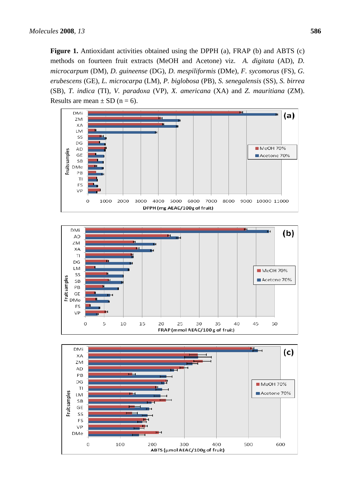**Figure 1.** Antioxidant activities obtained using the DPPH (a), FRAP (b) and ABTS (c) methods on fourteen fruit extracts (MeOH and Acetone) viz. *A. digitata* (AD), *D. microcarpum* (DM), *D. guineense* (DG), *D. mespiliformis* (DMe), *F. sycomorus* (FS), *G. erubescens* (GE), *L. microcarpa* (LM), *P. biglobosa* (PB), *S. senegalensis* (SS), *S. birrea* (SB), *T. indica* (TI), *V. paradoxa* (VP), *X. americana* (XA) and *Z. mauritiana* (ZM). Results are mean  $\pm$  SD (n = 6).



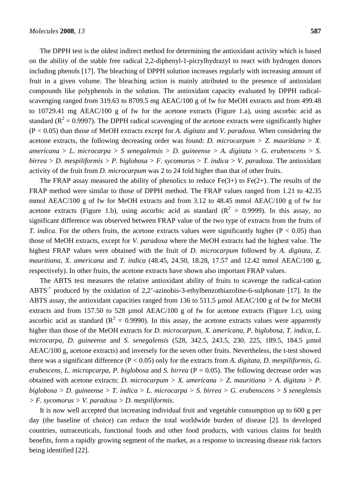The DPPH test is the oldest indirect method for determining the antioxidant activity which is based on the ability of the stable free radical 2,2-diphenyl-1-picrylhydrazyl to react with hydrogen donors including phenols [17]. The bleaching of DPPH solution increases regularly with increasing amount of fruit in a given volume. The bleaching action is mainly attributed to the presence of antioxidant compounds like polyphenols in the solution. The antioxidant capacity evaluated by DPPH radicalscavenging ranged from 319.63 to 8709.5 mg AEAC/100 g of fw for MeOH extracts and from 499.48 to 10729.41 mg AEAC/100 g of fw for the acetone extracts (Figure 1.a), using ascorbic acid as standard ( $R^2 = 0.9997$ ). The DPPH radical scavenging of the acetone extracts were significantly higher (P < 0.05) than those of MeOH extracts except for *A. digitata* and *V. paradoxa*. When considering the acetone extracts, the following decreasing order was found: *D. microcarpum > Z. mauritiana > X. americana > L. microcarpa > S senegalensis > D. guineense > A. digitata > G. erubenscens > S. birrea > D. mespiliformis > P. biglobosa > F. sycomorus > T. indica > V. paradoxa*. The antioxidant activity of the fruit from *D. microcarpum* was 2 to 24 fold higher than that of other fruits.

The FRAP assay measured the ability of phenolics to reduce  $Fe(3+)$  to  $Fe(2+)$ . The results of the FRAP method were similar to those of DPPH method. The FRAP values ranged from 1.21 to 42.35 mmol AEAC/100 g of fw for MeOH extracts and from 3.12 to 48.45 mmol AEAC/100 g of fw for acetone extracts (Figure 1.b), using ascorbic acid as standard ( $R^2 = 0.9999$ ). In this assay, no significant difference was observed between FRAP value of the two type of extracts from the fruits of *T. indica.* For the others fruits, the acetone extracts values were significantly higher ( $P < 0.05$ ) than those of MeOH extracts, except for *V. paradoxa* where the MeOH extracts had the highest value. The highest FRAP values were obtained with the fruit of *D. microcarpum* followed by *A. digitata, Z. mauritiana, X. americana* and *T. indica* (48.45, 24.50, 18.28, 17.57 and 12.42 mmol AEAC/100 g, respectively). In other fruits, the acetone extracts have shown also important FRAP values.

The ABTS test measures the relative antioxidant ability of fruits to scavenge the radical-cation  $ABTS^+$  produced by the oxidation of 2,2'-azinobis-3-ethylbenzothiazoline-6-sulphonate [17]. In the ABTS assay, the antioxidant capacities ranged from 136 to 511.5 µmol AEAC/100 g of fw for MeOH extracts and from 157.50 to 528 µmol AEAC/100 g of fw for acetone extracts (Figure 1.c), using ascorbic acid as standard ( $R^2 = 0.9990$ ). In this assay, the acetone extracts values were apparently higher than those of the MeOH extracts for *D. microcarpum, X. americana, P. biglobosa, T. indica, L. microcarpa, D. guineense* and *S. senegalensis* (528, 342.5, 243.5, 230, 225, 189.5, 184.5 µmol AEAC/100 g, acetone extracts) and inversely for the seven other fruits. Nevertheless, the t-test showed there was a significant difference (P < 0.05) only for the extracts from *A. digitata, D. mespiliformis, G. erubescens, L. micropcarpa, P. biglobosa* and *S. birrea* ( $P = 0.05$ ). The following decrease order was obtained with acetone extracts: *D. microcarpum > X. americana > Z. mauritiana > A. digitata > P. biglobosa > D. guineense > T. indica > L. microcarpa > S. birrea > G. erubenscens > S seneglensis > F. sycomorus > V. paradoxa > D. mespiliformis.*

It is now well accepted that increasing individual fruit and vegetable consumption up to 600 g per day (the baseline of choice) can reduce the total worldwide burden of disease [2]. In developed countries, nutraceuticals, functional foods and other food products, with various claims for health benefits, form a rapidly growing segment of the market, as a response to increasing disease risk factors being identified [22].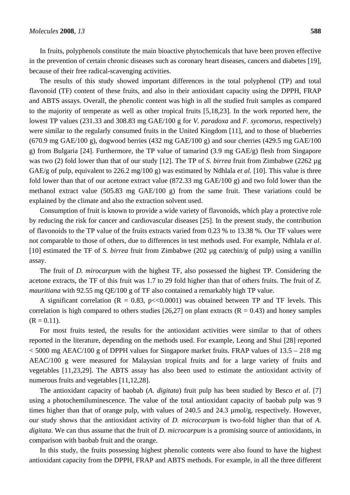In fruits, polyphenols constitute the main bioactive phytochemicals that have been proven effective in the prevention of certain chronic diseases such as coronary heart diseases, cancers and diabetes [19], because of their free radical-scavenging activities.

The results of this study showed important differences in the total polyphenol (TP) and total flavonoid (TF) content of these fruits, and also in their antioxidant capacity using the DPPH, FRAP and ABTS assays. Overall, the phenolic content was high in all the studied fruit samples as compared to the majority of temperate as well as other tropical fruits [5,18,23]. In the work reported here, the lowest TP values (231.33 and 308.83 mg GAE/100 g for *V. paradoxa* and *F. sycomorus*, respectively) were similar to the regularly consumed fruits in the United Kingdom [11], and to those of blueberries (670.9 mg GAE/100 g), dogwood berries (432 mg GAE/100 g) and sour cherries (429.5 mg GAE/100 g) from Bulgaria [24]. Furthermore, the TP value of tamarind (3.9 mg GAE/g) flesh from Singapore was two (2) fold lower than that of our study [12]. The TP of *S. birrea* fruit from Zimbabwe (2262 µg GAE/g of pulp, equivalent to 226.2 mg/100 g) was estimated by Ndhlala *et al*. [10]. This value is three fold lower than that of our acetone extract value (872.33 mg GAE/100 g) and two fold lower than the methanol extract value (505.83 mg GAE/100 g) from the same fruit. These variations could be explained by the climate and also the extraction solvent used.

Consumption of fruit is known to provide a wide variety of flavonoids, which play a protective role by reducing the risk for cancer and cardiovascular diseases [25]. In the present study, the contribution of flavonoids to the TP value of the fruits extracts varied from 0.23 % to 13.38 %. Our TF values were not comparable to those of others, due to differences in test methods used. For example, Ndhlala *et al*. [10] estimated the TF of *S. birrea* fruit from Zimbabwe (202 µg catechin/g of pulp) using a vanillin assay.

The fruit of *D. mirocarpum* with the highest TF, also possessed the highest TP. Considering the acetone extracts, the TF of this fruit was 1.7 to 29 fold higher than that of others fruits. The fruit of *Z. mauritiana* with 92.55 mg QE/100 g of TF also contained a remarkably high TP value.

A significant correlation ( $R = 0.83$ ,  $p \ll 0.0001$ ) was obtained between TP and TF levels. This correlation is high compared to others studies [26,27] on plant extracts ( $R = 0.43$ ) and honey samples  $(R = 0.11)$ .

For most fruits tested, the results for the antioxidant activities were similar to that of others reported in the literature, depending on the methods used. For example, Leong and Shui [28] reported  $<$  5000 mg AEAC/100 g of DPPH values for Singapore market fruits. FRAP values of 13.5 – 218 mg AEAC/100 g were measured for Malaysian tropical fruits and for a large variety of fruits and vegetables [11,23,29]. The ABTS assay has also been used to estimate the antioxidant activity of numerous fruits and vegetables [11,12,28].

The antioxidant capacity of baobab (*A. digitata*) fruit pulp has been studied by Besco *et al*. [7] using a photochemiluminescence. The value of the total antioxidant capacity of baobab pulp was 9 times higher than that of orange pulp, with values of 240.5 and 24.3 µmol/g, respectively. However, our study shows that the antioxidant activity of *D. microcarpum* is two-fold higher than that of *A. digitata*. We can thus assume that the fruit of *D. microcarpum* is a promising source of antioxidants, in comparison with baobab fruit and the orange.

In this study, the fruits possessing highest phenolic contents were also found to have the highest antioxidant capacity from the DPPH, FRAP and ABTS methods. For example, in all the three different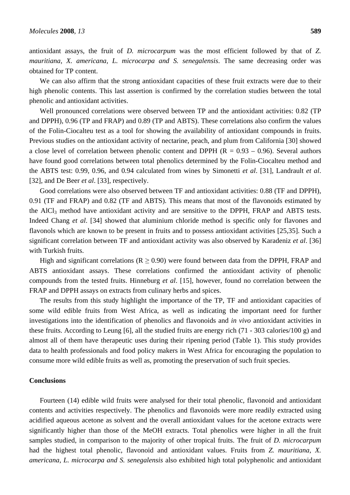antioxidant assays, the fruit of *D. microcarpum* was the most efficient followed by that of *Z. mauritiana, X. americana, L. microcarpa and S. senegalensis*. The same decreasing order was obtained for TP content.

We can also affirm that the strong antioxidant capacities of these fruit extracts were due to their high phenolic contents. This last assertion is confirmed by the correlation studies between the total phenolic and antioxidant activities.

Well pronounced correlations were observed between TP and the antioxidant activities: 0.82 (TP and DPPH), 0.96 (TP and FRAP) and 0.89 (TP and ABTS). These correlations also confirm the values of the Folin-Ciocalteu test as a tool for showing the availability of antioxidant compounds in fruits. Previous studies on the antioxidant activity of nectarine, peach, and plum from California [30] showed a close level of correlation between phenolic content and DPPH ( $R = 0.93 - 0.96$ ). Several authors have found good correlations between total phenolics determined by the Folin-Ciocalteu method and the ABTS test: 0.99, 0.96, and 0.94 calculated from wines by Simonetti *et al*. [31], Landrault *et al*. [32], and De Beer *et al*. [33], respectively.

Good correlations were also observed between TF and antioxidant activities: 0.88 (TF and DPPH), 0.91 (TF and FRAP) and 0.82 (TF and ABTS). This means that most of the flavonoids estimated by the AlCl3 method have antioxidant activity and are sensitive to the DPPH, FRAP and ABTS tests. Indeed Chang *et al*. [34] showed that aluminium chloride method is specific only for flavones and flavonols which are known to be present in fruits and to possess antioxidant activities [25,35]. Such a significant correlation between TF and antioxidant activity was also observed by Karadeniz *et al*. [36] with Turkish fruits.

High and significant correlations ( $R \ge 0.90$ ) were found between data from the DPPH, FRAP and ABTS antioxidant assays. These correlations confirmed the antioxidant activity of phenolic compounds from the tested fruits. Hinneburg *et al*. [15], however, found no correlation between the FRAP and DPPH assays on extracts from culinary herbs and spices.

The results from this study highlight the importance of the TP, TF and antioxidant capacities of some wild edible fruits from West Africa, as well as indicating the important need for further investigations into the identification of phenolics and flavonoids and *in vivo* antioxidant activities in these fruits. According to Leung [6], all the studied fruits are energy rich (71 - 303 calories/100 g) and almost all of them have therapeutic uses during their ripening period (Table 1). This study provides data to health professionals and food policy makers in West Africa for encouraging the population to consume more wild edible fruits as well as, promoting the preservation of such fruit species.

#### **Conclusions**

Fourteen (14) edible wild fruits were analysed for their total phenolic, flavonoid and antioxidant contents and activities respectively. The phenolics and flavonoids were more readily extracted using acidified aqueous acetone as solvent and the overall antioxidant values for the acetone extracts were significantly higher than those of the MeOH extracts. Total phenolics were higher in all the fruit samples studied, in comparison to the majority of other tropical fruits. The fruit of *D. microcarpum* had the highest total phenolic, flavonoid and antioxidant values. Fruits from *Z. mauritiana, X. americana, L. microcarpa and S. senegalensis* also exhibited high total polyphenolic and antioxidant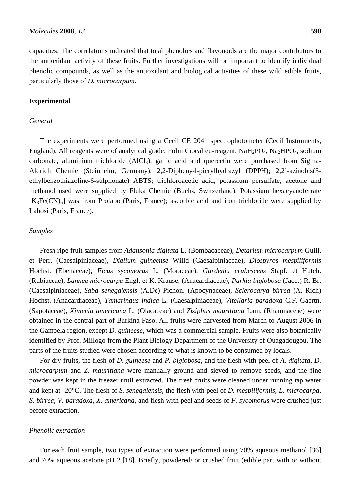capacities. The correlations indicated that total phenolics and flavonoids are the major contributors to the antioxidant activity of these fruits. Further investigations will be important to identify individual phenolic compounds, as well as the antioxidant and biological activities of these wild edible fruits, particularly those of *D. microcarpum*.

## **Experimental**

# *General*

The experiments were performed using a Cecil CE 2041 spectrophotometer (Cecil Instruments, England). All reagents were of analytical grade: Folin Ciocalteu-reagent,  $NaH_2PO_4$ ,  $Na_2HPO_4$ , sodium carbonate, aluminium trichloride  $(AICI_3)$ , gallic acid and quercetin were purchased from Sigma-Aldrich Chemie (Steinheim, Germany). 2,2-Dipheny-l-picrylhydrazyl (DPPH); 2,2'-azinobis(3 ethylbenzothiazoline-6-sulphonate) ABTS; trichloroacetic acid, potassium persulfate, acetone and methanol used were supplied by Fluka Chemie (Buchs, Switzerland). Potassium hexacyanoferrate  $[K<sub>3</sub>Fe(CN)<sub>6</sub>]$  was from Prolabo (Paris, France); ascorbic acid and iron trichloride were supplied by Labosi (Paris, France).

#### *Samples*

Fresh ripe fruit samples from *Adansonia digitata* L. (Bombacaceae), *Detarium microcarpum* Guill. et Perr. (Caesalpiniaceae), *Dialium guineense* Willd (Caesalpiniaceae), *Diospyros mespiliformis* Hochst. (Ebenaceae), *Ficus sycomorus* L. (Moraceae), *Gardenia erubescens* Stapf. et Hutch. (Rubiaceae), *Lannea microcarpa* Engl. et K. Krause. (Anacardiaceae), *Parkia biglobosa* (Jacq.) R. Br. (Caesalpiniaceae), *Saba senegalensis* (A.Dc) Pichon. (Apocynaceae), *Sclerocarya birrea* (A. Rich) Hochst. (Anacardiaceae), *Tamarindus indica* L. (Caesalpiniaceae), *Vitellaria paradoxa* C.F. Gaertn. (Sapotaceae), *Ximenia americana* L. (Olacaceae) and *Ziziphus mauritiana* Lam. (Rhamnaceae) were obtained in the central part of Burkina Faso. All fruits were harvested from March to August 2006 in the Gampela region, except *D. guineese*, which was a commercial sample. Fruits were also botanically identified by Prof. Millogo from the Plant Biology Department of the University of Ouagadougou. The parts of the fruits studied were chosen according to what is known to be consumed by locals.

For dry fruits, the flesh of *D. guineese* and *P. biglobosa*, and the flesh with peel of *A. digitata, D. microcarpum* and *Z. mauritiana* were manually ground and sieved to remove seeds, and the fine powder was kept in the freezer until extracted. The fresh fruits were cleaned under running tap water and kept at -20°C. The flesh of *S. senegalensis*, the flesh with peel of *D. mespiliformis*, *L. microcarpa, S. birrea, V. paradoxa, X. americana*, and flesh with peel and seeds of *F. sycomorus* were crushed just before extraction.

#### *Phenolic extraction*

For each fruit sample, two types of extraction were performed using 70% aqueous methanol [36] and 70% aqueous acetone pH 2 [18]. Briefly, powdered/ or crushed fruit (edible part with or without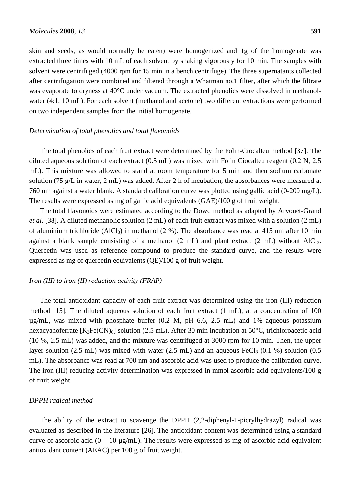skin and seeds, as would normally be eaten) were homogenized and 1g of the homogenate was extracted three times with 10 mL of each solvent by shaking vigorously for 10 min. The samples with solvent were centrifuged (4000 rpm for 15 min in a bench centrifuge). The three supernatants collected after centrifugation were combined and filtered through a Whatman no.1 filter, after which the filtrate

was evaporate to dryness at 40°C under vacuum. The extracted phenolics were dissolved in methanolwater (4:1, 10 mL). For each solvent (methanol and acetone) two different extractions were performed on two independent samples from the initial homogenate.

# *Determination of total phenolics and total flavonoids*

The total phenolics of each fruit extract were determined by the Folin-Ciocalteu method [37]. The diluted aqueous solution of each extract (0.5 mL) was mixed with Folin Ciocalteu reagent (0.2 N, 2.5 mL). This mixture was allowed to stand at room temperature for 5 min and then sodium carbonate solution (75 g/L in water, 2 mL) was added. After 2 h of incubation, the absorbances were measured at 760 nm against a water blank. A standard calibration curve was plotted using gallic acid (0-200 mg/L). The results were expressed as mg of gallic acid equivalents (GAE)/100 g of fruit weight.

The total flavonoids were estimated according to the Dowd method as adapted by Arvouet-Grand *et al*. [38]. A diluted methanolic solution (2 mL) of each fruit extract was mixed with a solution (2 mL) of aluminium trichloride  $(AICI_3)$  in methanol (2 %). The absorbance was read at 415 nm after 10 min against a blank sample consisting of a methanol  $(2 \text{ mL})$  and plant extract  $(2 \text{ mL})$  without AlCl<sub>3</sub>. Quercetin was used as reference compound to produce the standard curve, and the results were expressed as mg of quercetin equivalents (QE)/100 g of fruit weight.

#### *Iron (III) to iron (II) reduction activity (FRAP)*

The total antioxidant capacity of each fruit extract was determined using the iron (III) reduction method [15]. The diluted aqueous solution of each fruit extract (1 mL), at a concentration of 100  $\mu$ g/mL, was mixed with phosphate buffer (0.2 M, pH 6.6, 2.5 mL) and 1% aqueous potassium hexacyanoferrate  $[K_3Fe(CN)_6]$  solution (2.5 mL). After 30 min incubation at 50°C, trichloroacetic acid (10 %, 2.5 mL) was added, and the mixture was centrifuged at 3000 rpm for 10 min. Then, the upper layer solution (2.5 mL) was mixed with water (2.5 mL) and an aqueous FeCl<sub>3</sub> (0.1 %) solution (0.5 mL). The absorbance was read at 700 nm and ascorbic acid was used to produce the calibration curve. The iron (III) reducing activity determination was expressed in mmol ascorbic acid equivalents/100 g of fruit weight.

#### *DPPH radical method*

The ability of the extract to scavenge the DPPH (2,2-diphenyl-1-picrylhydrazyl) radical was evaluated as described in the literature [26]. The antioxidant content was determined using a standard curve of ascorbic acid  $(0 - 10 \mu g/mL)$ . The results were expressed as mg of ascorbic acid equivalent antioxidant content (AEAC) per 100 g of fruit weight.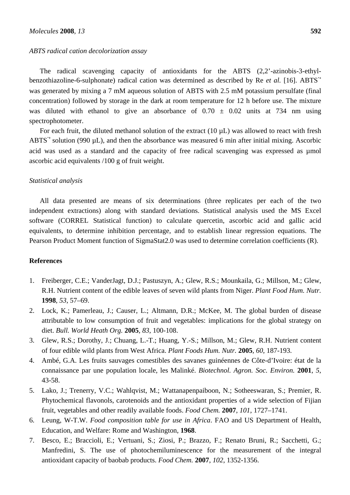#### *ABTS radical cation decolorization assay*

The radical scavenging capacity of antioxidants for the ABTS (2,2'-azinobis-3-ethylbenzothiazoline-6-sulphonate) radical cation was determined as described by Re *et al.* [16]. ABTS**·**<sup>+</sup> was generated by mixing a 7 mM aqueous solution of ABTS with 2.5 mM potassium persulfate (final concentration) followed by storage in the dark at room temperature for 12 h before use. The mixture was diluted with ethanol to give an absorbance of  $0.70 \pm 0.02$  units at 734 nm using spectrophotometer.

For each fruit, the diluted methanol solution of the extract  $(10 \mu L)$  was allowed to react with fresh ABTS<sup>\*</sup> solution (990 µL), and then the absorbance was measured 6 min after initial mixing. Ascorbic acid was used as a standard and the capacity of free radical scavenging was expressed as µmol ascorbic acid equivalents /100 g of fruit weight.

#### *Statistical analysis*

All data presented are means of six determinations (three replicates per each of the two independent extractions) along with standard deviations. Statistical analysis used the MS Excel software (CORREL Statistical function) to calculate quercetin, ascorbic acid and gallic acid equivalents, to determine inhibition percentage, and to establish linear regression equations. The Pearson Product Moment function of SigmaStat2.0 was used to determine correlation coefficients (R).

#### **References**

- 1. Freiberger, C.E.; VanderJagt, D.J.; Pastuszyn, A.; Glew, R.S.; Mounkaila, G.; Millson, M.; Glew, R.H. Nutrient content of the edible leaves of seven wild plants from Niger. *Plant Food Hum. Nutr.* **1998**, *53*, 57–69.
- 2. Lock, K.; Pamerleau, J.; Causer, L.; Altmann, D.R.; McKee, M. The global burden of disease attributable to low consumption of fruit and vegetables: implications for the global strategy on diet. *Bull. World Heath Org.* **2005**, *83*, 100-108.
- 3. Glew, R.S.; Dorothy, J.; Chuang, L.-T.; Huang, Y.-S.; Millson, M.; Glew, R.H. Nutrient content of four edible wild plants from West Africa. *Plant Foods Hum. Nutr.* **2005**, *60*, 187-193.
- 4. Ambé, G.A. Les fruits sauvages comestibles des savanes guinéennes de Côte-d'Ivoire: état de la connaissance par une population locale, les Malinké. *Biotechnol. Agron. Soc. Environ.* **2001**, *5*, 43-58.
- 5. Lako, J.; Trenerry, V.C.; Wahlqvist, M.; Wattanapenpaiboon, N.; Sotheeswaran, S.; Premier, R. Phytochemical flavonols, carotenoids and the antioxidant properties of a wide selection of Fijian fruit, vegetables and other readily available foods. *Food Chem.* **2007**, *101*, 1727–1741.
- 6. Leung, W-T.W. *Food composition table for use in Africa*. FAO and US Department of Health, Education, and Welfare: Rome and Washington, **1968**.
- 7. Besco, E.; Braccioli, E.; Vertuani, S.; Ziosi, P.; Brazzo, F.; Renato Bruni, R.; Sacchetti, G.; Manfredini, S. The use of photochemiluminescence for the measurement of the integral antioxidant capacity of baobab products. *Food Chem.* **2007**, *102*, 1352-1356.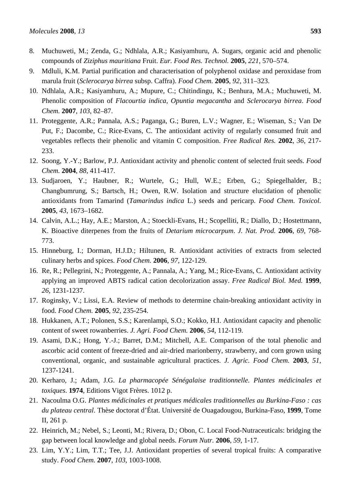- 8. Muchuweti, M.; Zenda, G.; Ndhlala, A.R.; Kasiyamhuru, A. Sugars, organic acid and phenolic compounds of *Ziziphus mauritiana* Fruit. *Eur. Food Res. Technol.* **2005**, *221*, 570–574.
- 9. Mdluli, K.M. Partial purification and characterisation of polyphenol oxidase and peroxidase from marula fruit (*Sclerocarya birrea* subsp. Caffra). *Food Chem.* **2005**, *92*, 311–323.
- 10. Ndhlala, A.R.; Kasiyamhuru, A.; Mupure, C.; Chitindingu, K.; Benhura, M.A.; Muchuweti, M. Phenolic composition of *Flacourtia indica, Opuntia megacantha* and *Sclerocarya birrea*. *Food Chem.* **2007**, *103*, 82–87.
- 11. Proteggente, A.R.; Pannala, A.S.; Paganga, G.; Buren, L.V.; Wagner, E.; Wiseman, S.; Van De Put, F.; Dacombe, C.; Rice-Evans, C. The antioxidant activity of regularly consumed fruit and vegetables reflects their phenolic and vitamin C composition. *Free Radical Res.* **2002**, *36*, 217- 233.
- 12. Soong, Y.-Y.; Barlow, P.J. Antioxidant activity and phenolic content of selected fruit seeds. *Food Chem.* **2004**, *88*, 411-417.
- 13. Sudjaroen, Y.; Haubner, R.; Wurtele, G.; Hull, W.E.; Erben, G.; Spiegelhalder, B.; Changbumrung, S.; Bartsch, H.; Owen, R.W. Isolation and structure elucidation of phenolic antioxidants from Tamarind (*Tamarindus indica* L.) seeds and pericarp. *Food Chem. Toxicol.* **2005**, *43*, 1673–1682.
- 14. Calvin, A.L.; Hay, A.E.; Marston, A.; Stoeckli-Evans, H.; Scopelliti, R.; Diallo, D.; Hostettmann, K. Bioactive diterpenes from the fruits of *Detarium microcarpum*. *J. Nat. Prod.* **2006**, *69*, 768- 773.
- 15. Hinneburg, I.; Dorman, H.J.D.; Hiltunen, R. Antioxidant activities of extracts from selected culinary herbs and spices. *Food Chem.* **2006**, *97*, 122-129.
- 16. Re, R.; Pellegrini, N.; Proteggente, A.; Pannala, A.; Yang, M.; Rice-Evans, C. Antioxidant activity applying an improved ABTS radical cation decolorization assay. *Free Radical Biol. Med.* **1999**, *26*, 1231-1237.
- 17. Roginsky, V.; Lissi, E.A. Review of methods to determine chain-breaking antioxidant activity in food. *Food Chem.* **2005**, *92*, 235-254.
- 18. Hukkanen, A.T.; Polonen, S.S.; Karenlampi, S.O.; Kokko, H.I. Antioxidant capacity and phenolic content of sweet rowanberries. *J. Agri. Food Chem.* **2006**, *54*, 112-119.
- 19. Asami, D.K.; Hong, Y.-J.; Barret, D.M.; Mitchell, A.E. Comparison of the total phenolic and ascorbic acid content of freeze-dried and air-dried marionberry, strawberry, and corn grown using conventional, organic, and sustainable agricultural practices. *J. Agric. Food Chem.* **2003**, *51*, 1237-1241.
- 20. Kerharo, J.; Adam, J.G. *La pharmacopée Sénégalaise traditionnelle. Plantes médicinales et toxiques*. **1974**, Editions Vigot Frères. 1012 p.
- 21. Nacoulma O.G. *Plantes médicinales et pratiques médicales traditionnelles au Burkina-Faso : cas du plateau central*. Thèse doctorat d'État. Université de Ouagadougou, Burkina-Faso, **1999**, Tome II, 261 p.
- 22. Heinrich, M.; Nebel, S.; Leonti, M.; Rivera, D.; Obon, C. Local Food-Nutraceuticals: bridging the gap between local knowledge and global needs. *Forum Nutr.* **2006**, *59*, 1-17.
- 23. Lim, Y.Y.; Lim, T.T.; Tee, J.J. Antioxidant properties of several tropical fruits: A comparative study. *Food Chem.* **2007**, *103*, 1003-1008.